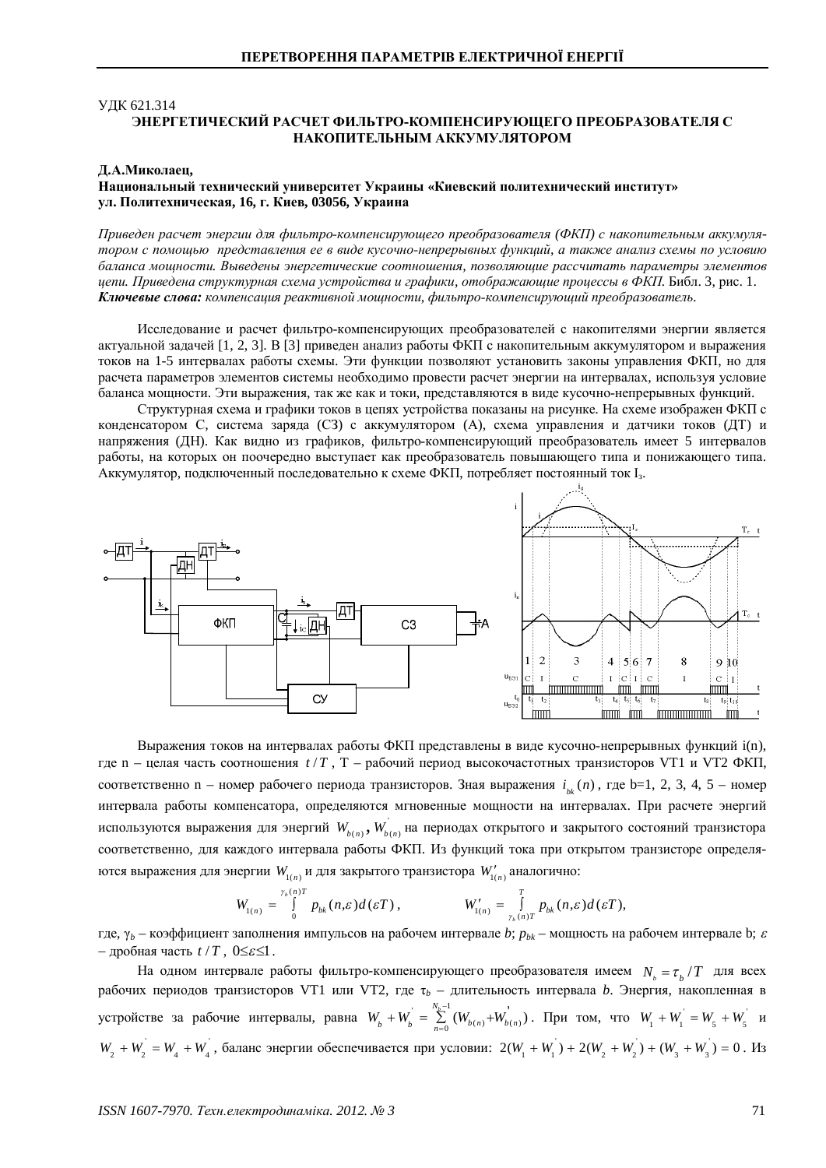### **УДК 621.314** ЭНЕРГЕТИЧЕСКИЙ РАСЧЕТ ФИЛЬТРО-КОМПЕНСИРУЮШЕГО ПРЕОБРАЗОВАТЕЛЯ С НАКОПИТЕЛЬНЫМ АККУМУЛЯТОРОМ

#### **ȾȺɆɢɤɨɥɚɟɰ,**

### **ɇɚɰɢɨɧɚɥɶɧɵɣɬɟɯɧɢɱɟɫɤɢɣɭɧɢɜɟɪɫɢɬɟɬɍɤɪɚɢɧɵ «Ʉɢɟɜɫɤɢɣɩɨɥɢɬɟɯɧɢɱɟɫɤɢɣɢɧɫɬɢɬɭɬ»** VЛ. Политехническая, 16, г. Киев, 03056, Украина

*ɉɪɢɜɟɞɟɧɪɚɫɱɟɬɷɧɟɪɝɢɢɞɥɹɮɢɥɶɬɪɨɤɨɦɩɟɧɫɢɪɭɸɳɟɝɨɩɪɟɨɛɪɚɡɨɜɚɬɟɥɹ (ɎɄɉ) ɫɧɚɤɨɩɢɬɟɥɶɧɵɦɚɤɤɭɦɭɥɹ*тором с помощью представления ее в виде кусочно-непрерывных функций, а также анализ схемы по условию баланса мощности. Выведены энергетические соотношения, позволяющие рассчитать параметры элементов *ɰɟɩɢ. ɉɪɢɜɟɞɟɧɚɫɬɪɭɤɬɭɪɧɚɹɫɯɟɦɚɭɫɬɪɨɣɫɬɜɚɢɝɪɚɮɢɤɢ, ɨɬɨɛɪɚɠɚɸɳɢɟɩɪɨɰɟɫɫɵɜɎɄɉ.*Ȼɢɛɥ. 3, ɪɢɫ. 1. Ключевые слова: компенсация реактивной мошности, фильтро-компенсирующий преобразователь.

Исследование и расчет фильтро-компенсирующих преобразователей с накопителями энергии является актуальной задачей [1, 2, 3]. В [3] приведен анализ работы ФКП с накопительным аккумулятором и выражения токов на 1-5 интервалах работы схемы. Эти функции позволяют установить законы управления ФКП, но для расчета параметров элементов системы необходимо провести расчет энергии на интервалах, используя условие баланса мощности. Эти выражения, так же как и токи, представляются в виде кусочно-непрерывных функций.

Структурная схема и графики токов в цепях устройства показаны на рисунке. На схеме изображен ФКП с конденсатором С, система заряда (СЗ) с аккумулятором (А), схема управления и датчики токов (ДТ) и напряжения (ДН). Как видно из графиков, фильтро-компенсирующий преобразователь имеет 5 интервалов работы, на которых он поочередно выступает как преобразователь повышающего типа и понижающего типа. Аккумулятор, подключенный последовательно к схеме ФКП, потребляет постоянный ток I3.



Выражения токов на интервалах работы ФКП представлены в виде кусочно-непрерывных функций i(n), где n – целая часть соотношения  $t/T$ , T – рабочий период высокочастотных транзисторов VT1 и VT2 ФКП, соответственно n – номер рабочего периода транзисторов. Зная выражения  $i_{ik}(n)$ , где b=1, 2, 3, 4, 5 – номер интервала работы компенсатора, определяются мгновенные мощности на интервалах. При расчете энергий используются выражения для энергий  $\textit{W}_{_{b(n)}}^{\cdot}, \textit{W}_{_{b(n)}}^{\cdot}$ на периодах открытого и закрытого состояний транзистора соответственно, для каждого интервала работы ФКП. Из функций тока при открытом транзисторе определяются выражения для энергии  $W_{1(n)}$ и для закрытого транзистора  $\,W'_{1(n)}\,$ аналогично:

$$
W_{1(n)} = \int_{0}^{\gamma_b(n)T} p_{bk}(n,\varepsilon) d(\varepsilon T), \qquad W'_{1(n)} = \int_{\gamma_b(n)T}^T p_{bk}(n,\varepsilon) d(\varepsilon T),
$$

где,  $\gamma_b$  – коэффициент заполнения импульсов на рабочем интервале *b*;  $p_{bk}$  – мощность на рабочем интервале b;  $\varepsilon$  $-$  дробная часть  $t/T$ ,  $0 \leq \varepsilon \leq 1$ .

На одном интервале работы фильтро-компенсирующего преобразователя имеем  $N_{\scriptscriptstyle h} = \tau_{\scriptscriptstyle h}/T$  для всех рабочих периодов транзисторов VT1 или VT2, где  $\tau_b$  – длительность интервала *b*. Энергия, накопленная в устройстве за рабочие интервалы, равна  $W_b + W_b = \sum_{n=0}^{N_b-1} (W_{b(n)} + W_{b(n)})$  $\sum_{k=1}^{N_b-1} (W_{h(n)} + W_{h(n)})$  $W_b + W_b = \sum_{n=0}^{N_b - 1} (W_{b(n)} + W_b)$  $W_b = \sum_{n=0}^{8} (W_{b(n)} + W_{b(n)})$ . При том, что  $W_1 + W_1 = W_5 + W_5$  и  $W_2 + W_2 = W_4 + W_4$ , баланс энергии обеспечивается при условии:  $2(W_1 + W_1) + 2(W_2 + W_2) + (W_3 + W_3) = 0$ . Из